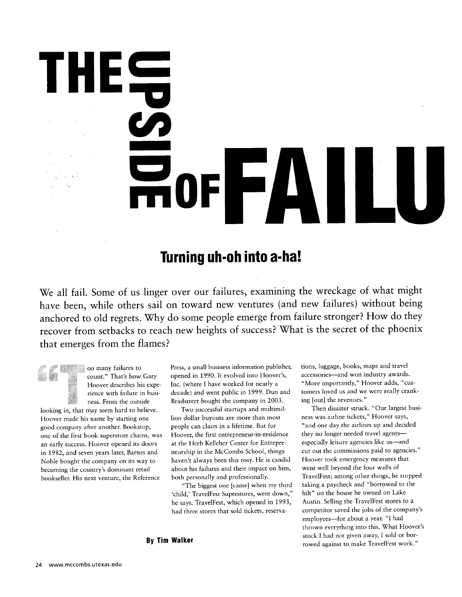## **Turning uh-oh into a-ha!**

 $\mathbf{F}$ 

We all fail. Some of us linger over our failures, examining the wreckage of what might have been, while others sail on toward new ventures (and new failures) without being anchored to old regrets. Why do some people emerge from failure stronger? How do they recover from setbacks to reach new heights of success? What is the secret of the phoenix that emerges from the flames?

•• "' • oo many failures to count." That's how Gary Hoover describes his experience with failure in business. From the outside looking in, that may seem hard to believe. Hoover made his name by starting one good company after another. Bookstop, one of the first book superstore chains, was an early success. Hoover opened its doors in 1982, and seven years later, Barnes and Noble bought the company on its way to becoming the country's dominant retail bookseller. His next venture, the Reference

TH

Press, a small business information publisher, opened in 1990. It evolved into Hoover's, Inc. (where I have worked for nearly a decade) and went public in 1999. Dun and Bradstreet bought the company in 2003.

Two successful startups and multimillion dollar buyouts are more than most people can claim in a lifetime. But for Hoover, the first entrepreneur-in-residence at the Herb Kelleher Center for Entrepreneurship in the McCombs School, things haven't always been this rosy. He is candid about his failures and their impact on him, both personally and professionally.

"The biggest one [came] when my third 'child,' TravelFest Superstores, went down," he says. TravelFest, which opened in 1993, had three stores that sold tickets, reservations, luggage, books, maps and travel accessories—and won industry awards. "More importantly," Hoover adds, "customers loved us and we were really cranking [out] the revenues."

Then disaster struck. "Our largest business was airline tickets," Hoover says, "and one day the airlines up and decided they no longer needed travel agents especially leisure agencies like us—and cut out the commissions paid to agencies." Hoover took emergency measures that went well beyond the four walls of TravelFest; among other things, he stopped taking a paycheck and "borrowed to the hilt" on the house he owned on Lake Austin. Selling the TravelFest stores to a competitor saved the jobs of the company's employees—for about a year. "I had thrown everything into this. What Hoover's stock I had not given away, I sold or borrowed against to make TravelFest work."

**By Tim Walker**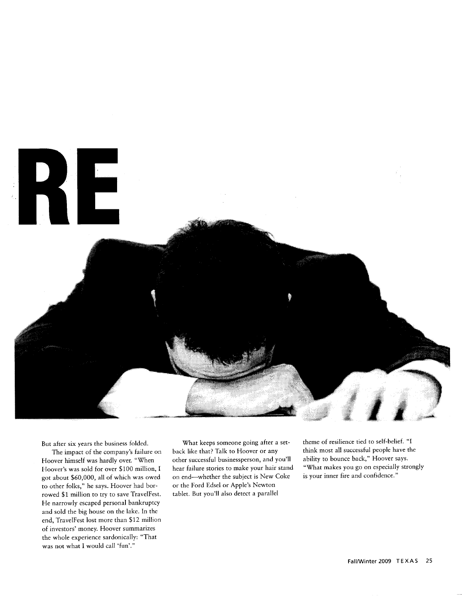

But after six years the business folded.

The impact of the company's failure on Hoover himself was hardly over. "When Hoover's was sold for over \$100 million, I got about \$60,000, all of which was owed to other folks," he says. Hoover had borrowed \$1 million to try to save TravelFest. He narrowly escaped personal bankruptcy and sold the big house on the lake. In the end, TravelFest lost more than \$12 million of investors' money. Hoover summarizes the whole experience sardonically: "That was not what I would call 'fun'."

What keeps someone going after a setback like that? Talk to Hoover or any other successful businessperson, and you'll hear failure stories to make your hair stand on end—whether the subject is New Coke or the Ford Edsel or Apple's Newton tablet. But you'll also detect a parallel

theme of resilience tied to self-belief. "I think most all successful people have the ability to bounce back," Hoover says. "What makes you go on especially strongly is your inner fire and confidence."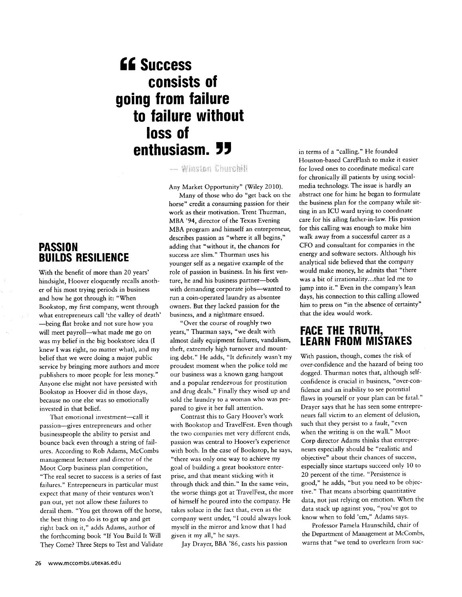## **Success consists of going from failure to failure without loss of** enthusiasm. **77**

- Winston Churchill

Any Market Opportunity" (Wiley 2010). Many of those who do "get back on the horse" credit a consuming passion for their work as their motivation. Trent Thurman, MBA '94, director of the Texas Evening MBA program and himself an entrepreneur, describes passion as "where it all begins," adding that "without it, the chances for success are slim." Thurman uses his younger self as a negative example of the role of passion in business. In his first venture, he and his business partner—both with demanding corporate jobs—wanted to run a coin-operated laundry as absentee owners. But they lacked passion for the business, and a nightmare ensued.

"Over the course of roughly two years," Thurman says, "we dealt with almost daily equipment failures, vandalism, theft, extremely high turnover and mounting debt." He adds, "It definitely wasn't my proudest moment when the police told me our business was a known gang hangout and a popular rendezvous for prostitution and drug deals." Finally they wised up and sold the laundry to a woman who was prepared to give it her full attention.

Contrast this to Gary Hoover's work with Bookstop and TravelFest. Even though the two companies met very different ends, passion was central to Hoover's experience with both. In the case of Bookstop, he says, "there was only one way to achieve my goal of building a great bookstore enterprise, and that meant sticking with it through thick and thin." In the same vein, the worse things got at TravelFest, the more of himself he poured into the company. He takes solace in the fact that, even as the company went under, "I could always look myself in the mirror and know that I had given it my all," he says.

Jay Drayer, BBA '86, casts his passion

in terms of a "calling." He founded Houston-based CareFlash to make it easier for loved ones to coordinate medical care for chronically ill patients by using socialmedia technology. The issue is hardly an abstract one for him: he began to formulate the business plan for the company while sitting in an ICU ward trying to coordinate care for his ailing father-in-law. His passion for this calling was enough to make him walk away from a successful career as a CFO and consultant for companies in the energy and software sectors. Although his analytical side believed that the company would make money, he admits that "there was a bit of irrationality...that led me to jump into it." Even in the company's lean days, his connection to this calling allowed him to press on "in the absence of certainty" that the idea would work.

### **FACE THE TRUTH, LEARN FROM MISTAKES**

With passion, though, comes the risk of over-confidence and the hazard of being too dogged. Thurman notes that, although selfconfidence is crucial in business, "over-confidence and an inability to see potential flaws in yourself or your plan can be fatal." Drayer says that he has seen some entrepreneurs fall victim to an element of delusion, such that they persist to a fault, "even when the writing is on the wall." Moot Corp director Adams thinks that entrepreneurs especially should be "realistic and objective" about their chances of success, especially since startups succeed only 10 to 20 percent of the time. "Persistence is good," he adds, "but you need to be objective." That means absorbing quantitative data, not just relying on emotion. When the data stack up against you, "you've got to know when to fold 'em," Adams says.

Professor Pamela Haunschild, chair of the Department of Management at McCombs, warns that "we tend to overlearn from suc-

### **PASSION BUILDS RESILIENCE**

With the benefit of more than 20 years' hindsight, Hoover eloquently recalls another of his most trying periods in business and how he got through it: "When Bookstop, my first company, went through what entrepreneurs call 'the valley of death' —being flat broke and not sure how you will meet payroll—what made me go on was my belief in the big bookstore idea (I knew I was right, no matter what), and my belief that we were doing a major public service by bringing more authors and more publishers to more people for less money." Anyone else might not have persisted with Bookstop as Hoover did in those days, because no one else was so emotionally invested in that belief.

That emotional investment—call it passion—gives entrepreneurs and other businesspeople the ability to persist and bounce back even through a string of failures. According to Rob Adams, McCombs management lecturer and director of the Moot Corp business plan competition, "The real secret to success is a series of fast failures." Entrepreneurs in particular must expect that many of their ventures won't pan out, yet not allow these failures to derail them. "You get thrown off the horse, the best thing to do is to get up and get right back on it," adds Adams, author of the forthcoming book "If You Build It Will They Come? Three Steps to Test and Validate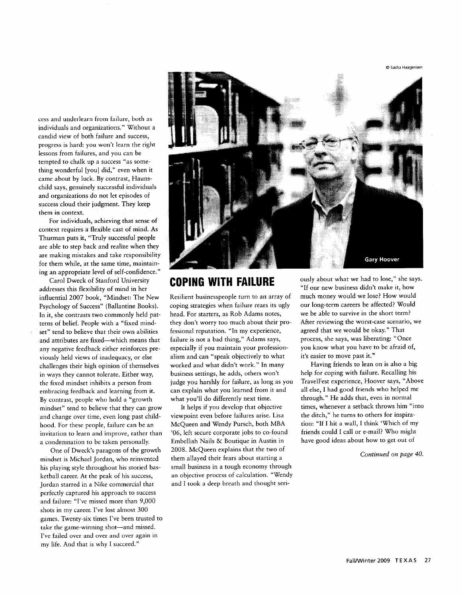© Sasha Haagensen

cess and underlearn from failure, both as individuals and organizations." Without a candid view of both failure and success, progress is hard: you won't learn the right lessons from failures, and you can be tempted to chalk up *a* success "as something wonderful [you] did," even when it came about by luck. By contrast, Haunschild says, genuinely successful individuals and organizations do not let episodes of success cloud their judgment. They keep them in context.

For individuals, achieving that sense of context requires a flexible cast of mind. As Thurman puts it, "Truly successful people are able to step back and realize when they are making mistakes and take responsibility for them while, at the same time, maintaining an appropriate level of self-confidence."

Carol Dweck of Stanford University addresses this flexibility of mind in her influential 2007 book, "Mindset: The New Psychology of Success" (Ballantine Books). In it, she contrasts two commonly held patterns of belief. People with a "fixed mindset" tend to believe that their own abilities and attributes are fixed—which means that any negative feedback either reinforces previously held views of inadequacy, or else challenges their high opinion of themselves in ways they cannot tolerate. Either way, the fixed mindset inhibits a person from embracing feedback and learning from it. By contrast, people who hold a "growth mindset" tend to believe that they can grow and change over time, even long past childhood. For these people, failure can be an invitation to learn and improve, rather than a condemnation to be taken personally.

One of Dweck's paragons of the growth mindset is Michael Jordan, who reinvented his playing style throughout his storied basketball career. At the peak of his success, Jordan starred in a Nike commercial that perfectly captured his approach to success and failure: "I've missed more than 9,000 shots in my career. I've lost almost 300 games. Twenty-six times I've been trusted to take the game-winning shot—and missed. I've failed over and over and over again in my life. And that is why I succeed."



#### **COPING WITH FAILURE**

Resilient businesspeople turn to an array of coping strategies when failure rears its ugly head. For starters, as Rob Adams notes, they don't worry too much about their professional reputation. "In my experience, failure is not a bad thing," Adams says, especially if you maintain your professionalism and can "speak objectively to what worked and what didn't work." In many business settings, he adds, others won't judge you harshly for failure, as long as you can explain what you learned from it and what you'll do differently next time.

It helps if you develop that objective viewpoint even before failures arise. Lisa McQueen and Wendy Pursch, both MBA '06, left secure corporate jobs to co-found Embellish Nails & Boutique in Austin in 2008. McQueen explains that the two of them allayed their fears about starting a small business in a tough economy through an objective process of calculation. "Wendy and I took a deep breath and thought seriously about what we had to lose," she says. "If our new business didn't make it, how much money would we lose? How would our long-term careers be affected? Would we be able to survive in the short term? After reviewing the worst-case scenario, we agreed that we would be okay." That process, she says, was liberating: "Once you know what you have to be afraid of, it's easier to move past it."

Having friends to lean on is also a big help for coping with failure. Recalling his TravelFest experience, Hoover says, "Above all else, I had good friends who helped me through." He adds that, even in normal times, whenever a setback throws him "into the ditch," he turns to others for inspiration: "If I hit a wall, I think 'Which of my friends could I call or e-mail? Who might have good ideas about how to get out of

*Continued on page 40.*